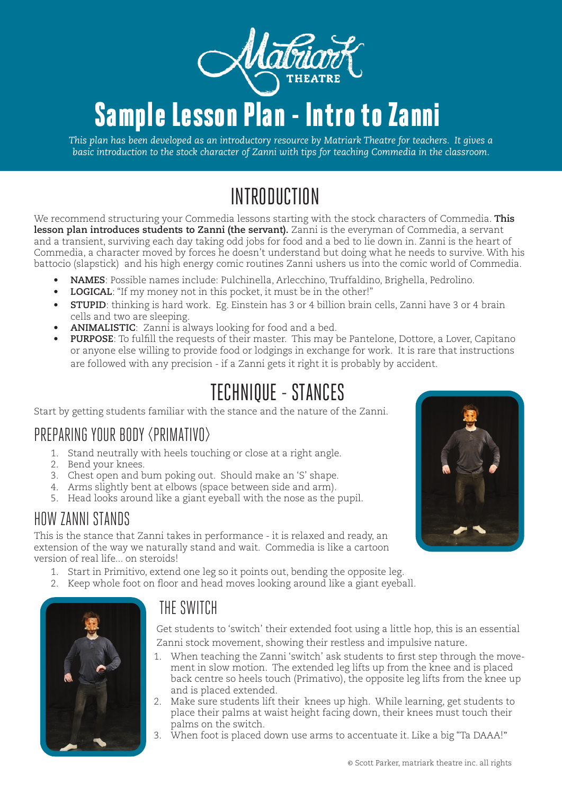

# Sample Lesson Plan - Intro to Zanni

*This plan has been developed as an introductory resource by Matriark Theatre for teachers. It gives a basic introduction to the stock character of Zanni with tips for teaching Commedia in the classroom.*

# INTRODUCTION

We recommend structuring your Commedia lessons starting with the stock characters of Commedia. **This lesson plan introduces students to Zanni (the servant).** Zanni is the everyman of Commedia, a servant and a transient, surviving each day taking odd jobs for food and a bed to lie down in. Zanni is the heart of Commedia, a character moved by forces he doesn't understand but doing what he needs to survive. With his battocio (slapstick) and his high energy comic routines Zanni ushers us into the comic world of Commedia.

- **• NAMES**: Possible names include: Pulchinella, Arlecchino, Truffaldino, Brighella, Pedrolino.
- **• LOGICAL**: "If my money not in this pocket, it must be in the other!"
- **• STUPID**: thinking is hard work. Eg. Einstein has 3 or 4 billion brain cells, Zanni have 3 or 4 brain cells and two are sleeping.
- **• ANIMALISTIC**: Zanni is always looking for food and a bed.
- **• PURPOSE**: To fulfill the requests of their master. This may be Pantelone, Dottore, a Lover, Capitano or anyone else willing to provide food or lodgings in exchange for work. It is rare that instructions are followed with any precision - if a Zanni gets it right it is probably by accident.

### TECHNIQUE - STANCES

Start by getting students familiar with the stance and the nature of the Zanni.

#### PREPARING YOUR BODY <PRIMATIVO>

- 1. Stand neutrally with heels touching or close at a right angle.
- 2. Bend your knees.
- 3. Chest open and bum poking out. Should make an 'S' shape.
- 4. Arms slightly bent at elbows (space between side and arm).
- 5. Head looks around like a giant eyeball with the nose as the pupil.

#### HOW ZANNI STANDS

This is the stance that Zanni takes in performance - it is relaxed and ready, an extension of the way we naturally stand and wait. Commedia is like a cartoon version of real life... on steroids!

- 1. Start in Primitivo, extend one leg so it points out, bending the opposite leg.
- 2. Keep whole foot on floor and head moves looking around like a giant eyeball.



#### THE SWITCH

Get students to 'switch' their extended foot using a little hop, this is an essential Zanni stock movement, showing their restless and impulsive nature.

- 1. When teaching the Zanni 'switch' ask students to first step through the movement in slow motion. The extended leg lifts up from the knee and is placed back centre so heels touch (Primativo), the opposite leg lifts from the knee up and is placed extended.
- 2. Make sure students lift their knees up high. While learning, get students to place their palms at waist height facing down, their knees must touch their palms on the switch.
- 3. When foot is placed down use arms to accentuate it. Like a big "Ta DAAA!"